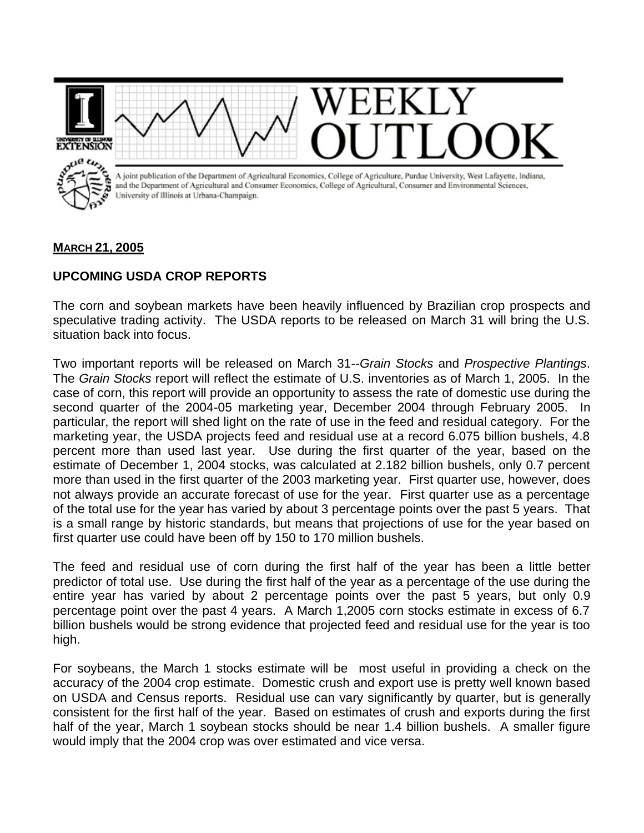

## **MARCH 21, 2005**

## **UPCOMING USDA CROP REPORTS**

The corn and soybean markets have been heavily influenced by Brazilian crop prospects and speculative trading activity. The USDA reports to be released on March 31 will bring the U.S. situation back into focus.

Two important reports will be released on March 31--*Grain Stocks* and *Prospective Plantings*. The *Grain Stocks* report will reflect the estimate of U.S. inventories as of March 1, 2005. In the case of corn, this report will provide an opportunity to assess the rate of domestic use during the second quarter of the 2004-05 marketing year, December 2004 through February 2005. In particular, the report will shed light on the rate of use in the feed and residual category. For the marketing year, the USDA projects feed and residual use at a record 6.075 billion bushels, 4.8 percent more than used last year. Use during the first quarter of the year, based on the estimate of December 1, 2004 stocks, was calculated at 2.182 billion bushels, only 0.7 percent more than used in the first quarter of the 2003 marketing year. First quarter use, however, does not always provide an accurate forecast of use for the year. First quarter use as a percentage of the total use for the year has varied by about 3 percentage points over the past 5 years. That is a small range by historic standards, but means that projections of use for the year based on first quarter use could have been off by 150 to 170 million bushels.

The feed and residual use of corn during the first half of the year has been a little better predictor of total use. Use during the first half of the year as a percentage of the use during the entire year has varied by about 2 percentage points over the past 5 years, but only 0.9 percentage point over the past 4 years. A March 1,2005 corn stocks estimate in excess of 6.7 billion bushels would be strong evidence that projected feed and residual use for the year is too high.

For soybeans, the March 1 stocks estimate will be most useful in providing a check on the accuracy of the 2004 crop estimate. Domestic crush and export use is pretty well known based on USDA and Census reports. Residual use can vary significantly by quarter, but is generally consistent for the first half of the year. Based on estimates of crush and exports during the first half of the year, March 1 soybean stocks should be near 1.4 billion bushels. A smaller figure would imply that the 2004 crop was over estimated and vice versa.